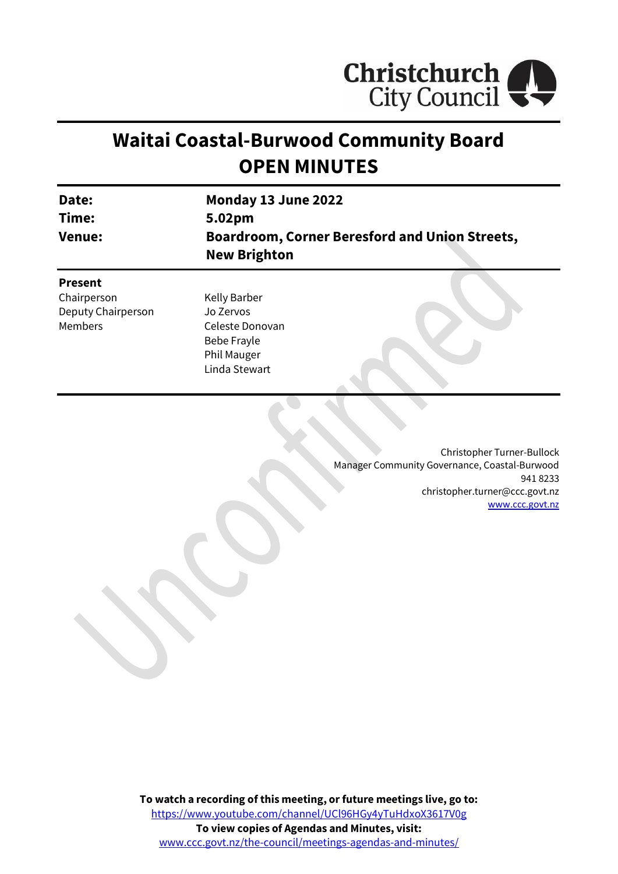

# **Waitai Coastal-Burwood Community Board OPEN MINUTES**

| Date:<br>Time:     | Monday 13 June 2022<br>5.02pm                                                |  |
|--------------------|------------------------------------------------------------------------------|--|
| <b>Venue:</b>      | <b>Boardroom, Corner Beresford and Union Streets,</b><br><b>New Brighton</b> |  |
| <b>Present</b>     |                                                                              |  |
| Chairperson        | Kelly Barber                                                                 |  |
| Deputy Chairperson | Jo Zervos                                                                    |  |
| <b>Members</b>     | Celeste Donovan                                                              |  |
|                    | Bebe Frayle                                                                  |  |
|                    | Phil Mauger                                                                  |  |
|                    | Linda Stewart                                                                |  |

Christopher Turner-Bullock Manager Community Governance, Coastal-Burwood 941 8233 christopher.turner@ccc.govt.nz [www.ccc.govt.nz](http://www.ccc.govt.nz/)

**To watch a recording of this meeting, or future meetings live, go to:** [https://www.youtube.com/channel/UCl96HGy4yTuHdxoX3617V0g](https://aus01.safelinks.protection.outlook.com/?url=https%3A%2F%2Fwww.youtube.com%2Fchannel%2FUCl96HGy4yTuHdxoX3617V0g&data=05%7C01%7CMatthew.Boult%40ccc.govt.nz%7C5a1a543348e149173c2608da3df8ac16%7C45c97e4ebd8d4ddcbd6e2d62daa2a011%7C0%7C0%7C637890435492430387%7CUnknown%7CTWFpbGZsb3d8eyJWIjoiMC4wLjAwMDAiLCJQIjoiV2luMzIiLCJBTiI6Ik1haWwiLCJXVCI6Mn0%3D%7C3000%7C%7C%7C&sdata=EFJJEOKUSGRJOzhgBP3eR8Jvgy9VZxhj6wHubQW9vwY%3D&reserved=0) **To view copies of Agendas and Minutes, visit:** [www.ccc.govt.nz/the-council/meetings-agendas-and-minutes/](https://www.ccc.govt.nz/the-council/meetings-agendas-and-minutes/)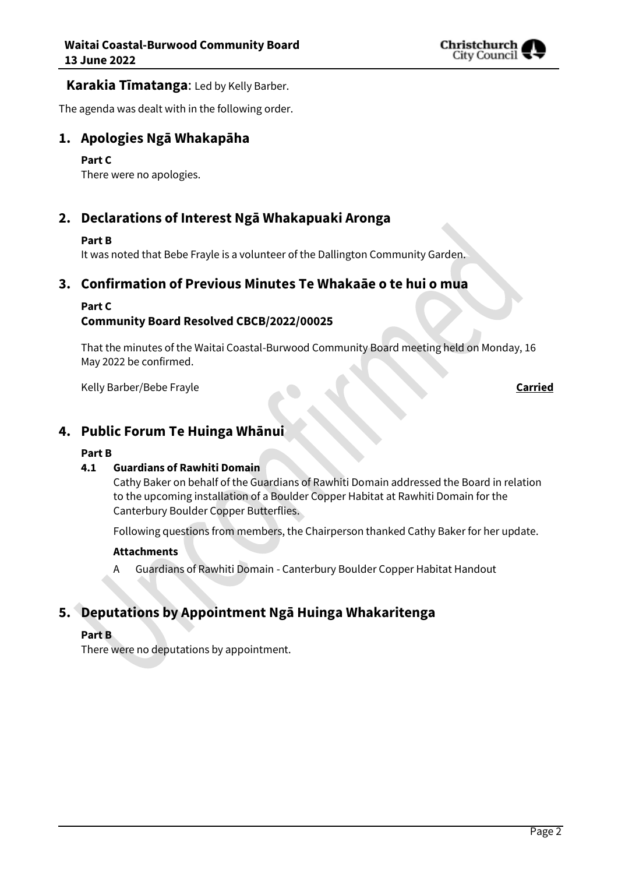

#### **Karakia Tīmatanga**: Led by Kelly Barber.

The agenda was dealt with in the following order.

### **1. Apologies Ngā Whakapāha**

#### **Part C**

There were no apologies.

## **2. Declarations of Interest Ngā Whakapuaki Aronga**

#### **Part B**

It was noted that Bebe Frayle is a volunteer of the Dallington Community Garden.

### **3. Confirmation of Previous Minutes Te Whakaāe o te hui o mua**

#### **Part C**

#### **Community Board Resolved CBCB/2022/00025**

That the minutes of the Waitai Coastal-Burwood Community Board meeting held on Monday, 16 May 2022 be confirmed.

Kelly Barber/Bebe Frayle **Carried**

### **4. Public Forum Te Huinga Whānui**

#### **Part B**

#### **4.1 Guardians of Rawhiti Domain**

Cathy Baker on behalf of the Guardians of Rawhiti Domain addressed the Board in relation to the upcoming installation of a Boulder Copper Habitat at Rawhiti Domain for the Canterbury Boulder Copper Butterflies.

Following questions from members, the Chairperson thanked Cathy Baker for her update.

#### **Attachments**

A Guardians of Rawhiti Domain - Canterbury Boulder Copper Habitat Handout

## **5. Deputations by Appointment Ngā Huinga Whakaritenga**

#### **Part B**

There were no deputations by appointment.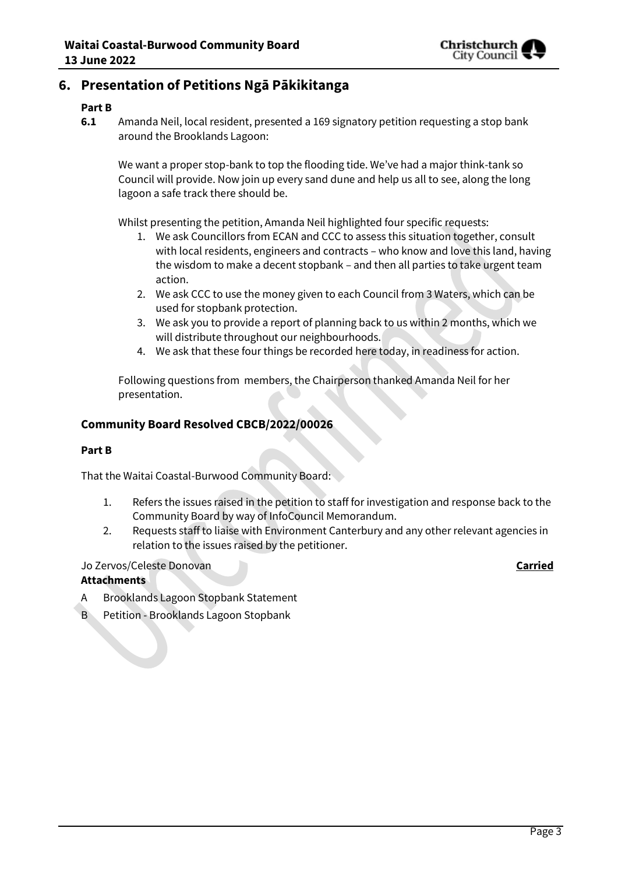

## **6. Presentation of Petitions Ngā Pākikitanga**

#### **Part B**

**6.1** Amanda Neil, local resident, presented a 169 signatory petition requesting a stop bank around the Brooklands Lagoon:

We want a proper stop-bank to top the flooding tide. We've had a major think-tank so Council will provide. Now join up every sand dune and help us all to see, along the long lagoon a safe track there should be.

Whilst presenting the petition, Amanda Neil highlighted four specific requests:

- 1. We ask Councillors from ECAN and CCC to assess this situation together, consult with local residents, engineers and contracts – who know and love this land, having the wisdom to make a decent stopbank – and then all parties to take urgent team action.
- 2. We ask CCC to use the money given to each Council from 3 Waters, which can be used for stopbank protection.
- 3. We ask you to provide a report of planning back to us within 2 months, which we will distribute throughout our neighbourhoods.
- 4. We ask that these four things be recorded here today, in readiness for action.

Following questions from members, the Chairperson thanked Amanda Neil for her presentation.

#### **Community Board Resolved CBCB/2022/00026**

#### **Part B**

That the Waitai Coastal-Burwood Community Board:

- 1. Refers the issues raised in the petition to staff for investigation and response back to the Community Board by way of InfoCouncil Memorandum.
- 2. Requests staff to liaise with Environment Canterbury and any other relevant agencies in relation to the issues raised by the petitioner.

#### Jo Zervos/Celeste Donovan **Carried**

- **Attachments**
- A Brooklands Lagoon Stopbank Statement
- B Petition Brooklands Lagoon Stopbank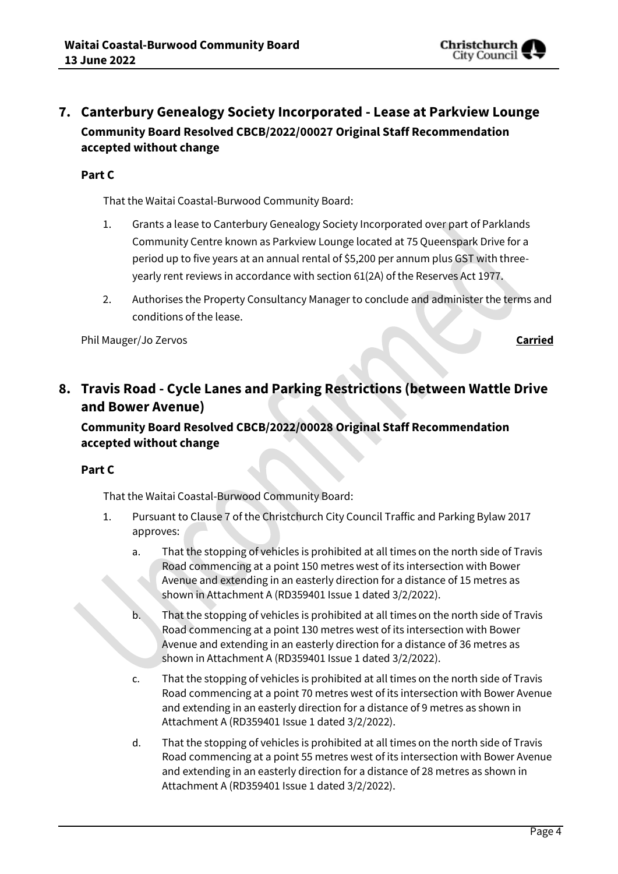

## **7. Canterbury Genealogy Society Incorporated - Lease at Parkview Lounge Community Board Resolved CBCB/2022/00027 Original Staff Recommendation accepted without change**

#### **Part C**

That the Waitai Coastal-Burwood Community Board:

- 1. Grants a lease to Canterbury Genealogy Society Incorporated over part of Parklands Community Centre known as Parkview Lounge located at 75 Queenspark Drive for a period up to five years at an annual rental of \$5,200 per annum plus GST with threeyearly rent reviews in accordance with section 61(2A) of the Reserves Act 1977.
- 2. Authorises the Property Consultancy Manager to conclude and administer the terms and conditions of the lease.

Phil Mauger/Jo Zervos **Carried**

## **8. Travis Road - Cycle Lanes and Parking Restrictions (between Wattle Drive and Bower Avenue)**

### **Community Board Resolved CBCB/2022/00028 Original Staff Recommendation accepted without change**

#### **Part C**

That the Waitai Coastal-Burwood Community Board:

- 1. Pursuant to Clause 7 of the Christchurch City Council Traffic and Parking Bylaw 2017 approves:
	- a. That the stopping of vehicles is prohibited at all times on the north side of Travis Road commencing at a point 150 metres west of its intersection with Bower Avenue and extending in an easterly direction for a distance of 15 metres as shown in Attachment A (RD359401 Issue 1 dated 3/2/2022).
	- b. That the stopping of vehicles is prohibited at all times on the north side of Travis Road commencing at a point 130 metres west of its intersection with Bower Avenue and extending in an easterly direction for a distance of 36 metres as shown in Attachment A (RD359401 Issue 1 dated 3/2/2022).
	- c. That the stopping of vehicles is prohibited at all times on the north side of Travis Road commencing at a point 70 metres west of its intersection with Bower Avenue and extending in an easterly direction for a distance of 9 metres as shown in Attachment A (RD359401 Issue 1 dated 3/2/2022).
	- d. That the stopping of vehicles is prohibited at all times on the north side of Travis Road commencing at a point 55 metres west of its intersection with Bower Avenue and extending in an easterly direction for a distance of 28 metres as shown in Attachment A (RD359401 Issue 1 dated 3/2/2022).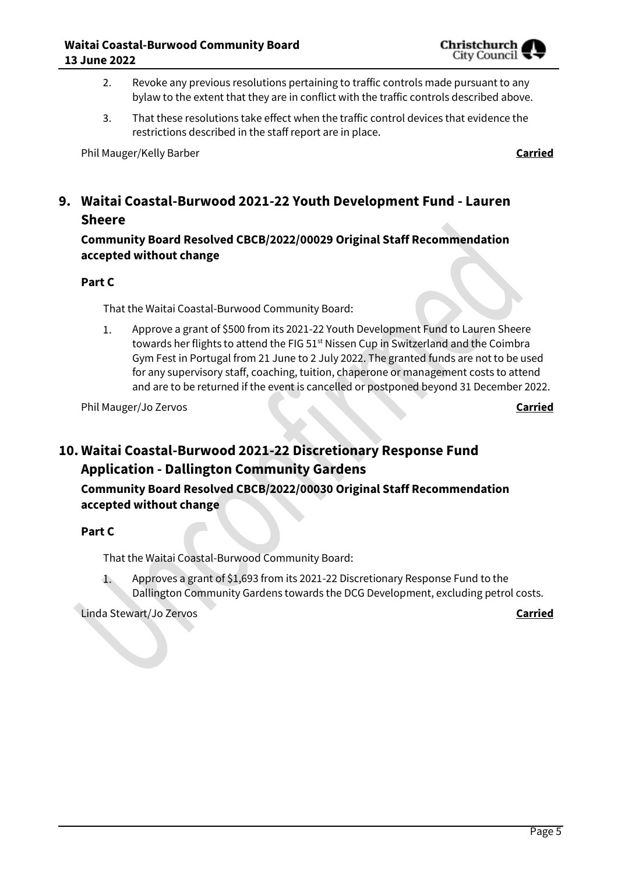

- 2. Revoke any previous resolutions pertaining to traffic controls made pursuant to any bylaw to the extent that they are in conflict with the traffic controls described above.
- 3. That these resolutions take effect when the traffic control devices that evidence the restrictions described in the staff report are in place.

Phil Mauger/Kelly Barber **Carried**

## **9. Waitai Coastal-Burwood 2021-22 Youth Development Fund - Lauren Sheere**

**Community Board Resolved CBCB/2022/00029 Original Staff Recommendation accepted without change**

#### **Part C**

That the Waitai Coastal-Burwood Community Board:

Approve a grant of \$500 from its 2021-22 Youth Development Fund to Lauren Sheere  $1.$ towards her flights to attend the FIG 51<sup>st</sup> Nissen Cup in Switzerland and the Coimbra Gym Fest in Portugal from 21 June to 2 July 2022. The granted funds are not to be used for any supervisory staff, coaching, tuition, chaperone or management costs to attend and are to be returned if the event is cancelled or postponed beyond 31 December 2022.

Phil Mauger/Jo Zervos **Carried**

## **10. Waitai Coastal-Burwood 2021-22 Discretionary Response Fund Application - Dallington Community Gardens**

**Community Board Resolved CBCB/2022/00030 Original Staff Recommendation accepted without change**

#### **Part C**

That the Waitai Coastal-Burwood Community Board:

Approves a grant of \$1,693 from its 2021-22 Discretionary Response Fund to the  $1.$ Dallington Community Gardens towards the DCG Development, excluding petrol costs.

Linda Stewart/Jo Zervos **Carried**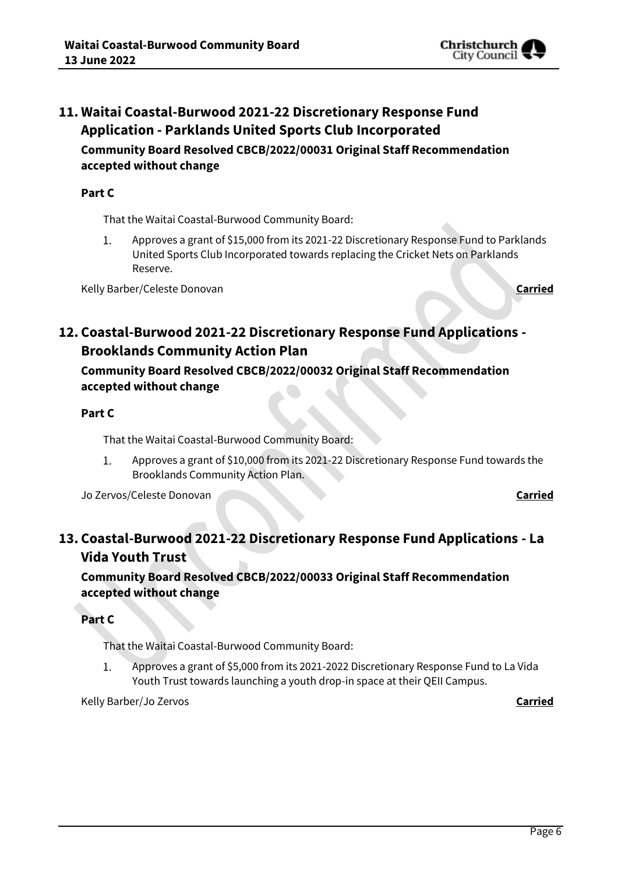

## **11. Waitai Coastal-Burwood 2021-22 Discretionary Response Fund Application - Parklands United Sports Club Incorporated Community Board Resolved CBCB/2022/00031 Original Staff Recommendation accepted without change**

#### **Part C**

That the Waitai Coastal-Burwood Community Board:

Approves a grant of \$15,000 from its 2021-22 Discretionary Response Fund to Parklands  $1.$ United Sports Club Incorporated towards replacing the Cricket Nets on Parklands Reserve.

Kelly Barber/Celeste Donovan **Carried**

## **12. Coastal-Burwood 2021-22 Discretionary Response Fund Applications - Brooklands Community Action Plan**

**Community Board Resolved CBCB/2022/00032 Original Staff Recommendation accepted without change**

#### **Part C**

That the Waitai Coastal-Burwood Community Board:

Approves a grant of \$10,000 from its 2021-22 Discretionary Response Fund towards the 1. Brooklands Community Action Plan.

Jo Zervos/Celeste Donovan **Carried**

## **13. Coastal-Burwood 2021-22 Discretionary Response Fund Applications - La Vida Youth Trust**

**Community Board Resolved CBCB/2022/00033 Original Staff Recommendation accepted without change**

**Part C**

That the Waitai Coastal-Burwood Community Board:

Approves a grant of \$5,000 from its 2021-2022 Discretionary Response Fund to La Vida 1. Youth Trust towards launching a youth drop-in space at their QEII Campus.

Kelly Barber/Jo Zervos **Carried**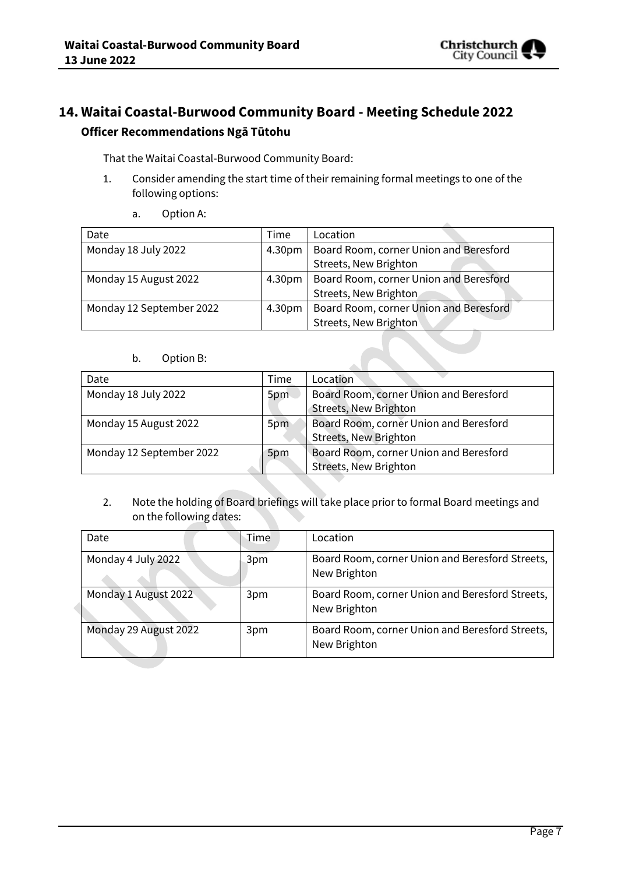

## **14. Waitai Coastal-Burwood Community Board - Meeting Schedule 2022 Officer Recommendations Ngā Tūtohu**

That the Waitai Coastal-Burwood Community Board:

- 1. Consider amending the start time of their remaining formal meetings to one of the following options:
	- a. Option A:

| Date                     | Time               | Location                               |
|--------------------------|--------------------|----------------------------------------|
| Monday 18 July 2022      | 4.30pm             | Board Room, corner Union and Beresford |
|                          |                    | Streets, New Brighton                  |
| Monday 15 August 2022    | 4.30 <sub>pm</sub> | Board Room, corner Union and Beresford |
|                          |                    | Streets, New Brighton                  |
| Monday 12 September 2022 | 4.30 <sub>pm</sub> | Board Room, corner Union and Beresford |
|                          |                    | Streets, New Brighton                  |

#### b. Option B:

| Date                     | Time | Location                                                               |
|--------------------------|------|------------------------------------------------------------------------|
| Monday 18 July 2022      | 5pm  | Board Room, corner Union and Beresford<br><b>Streets, New Brighton</b> |
| Monday 15 August 2022    | 5pm  | Board Room, corner Union and Beresford                                 |
|                          |      | Streets, New Brighton                                                  |
| Monday 12 September 2022 | 5pm  | Board Room, corner Union and Beresford                                 |
|                          |      | Streets, New Brighton                                                  |

2. Note the holding of Board briefings will take place prior to formal Board meetings and on the following dates:

| Date                  | Time | Location                                                        |
|-----------------------|------|-----------------------------------------------------------------|
| Monday 4 July 2022    | 3pm  | Board Room, corner Union and Beresford Streets,<br>New Brighton |
| Monday 1 August 2022  | 3pm  | Board Room, corner Union and Beresford Streets,<br>New Brighton |
| Monday 29 August 2022 | 3pm  | Board Room, corner Union and Beresford Streets,<br>New Brighton |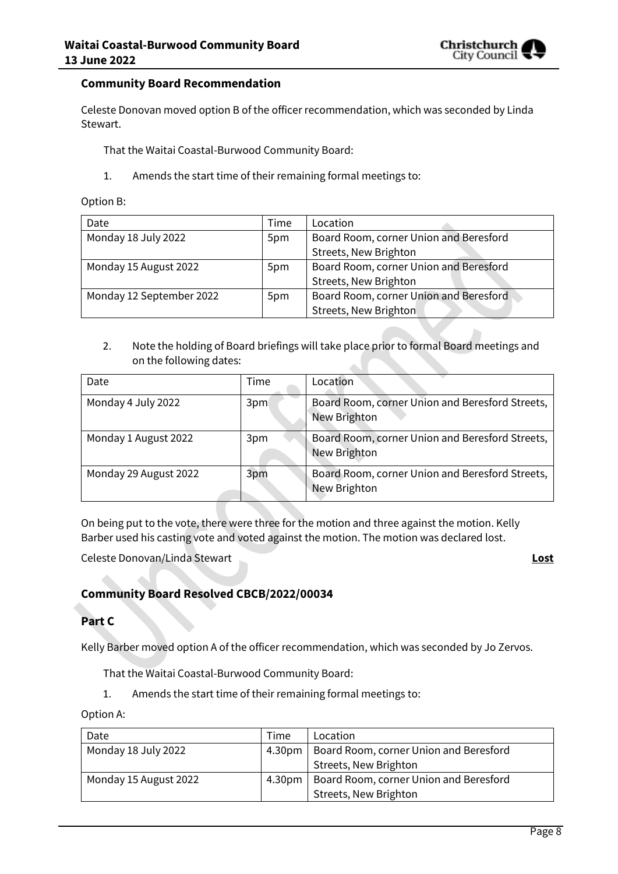

#### **Community Board Recommendation**

Celeste Donovan moved option B of the officer recommendation, which was seconded by Linda Stewart.

That the Waitai Coastal-Burwood Community Board:

1. Amends the start time of their remaining formal meetings to:

Option B:

| Date                     | Time | Location                               |
|--------------------------|------|----------------------------------------|
| Monday 18 July 2022      | 5pm  | Board Room, corner Union and Beresford |
|                          |      | Streets, New Brighton                  |
| Monday 15 August 2022    | 5pm  | Board Room, corner Union and Beresford |
|                          |      | Streets, New Brighton                  |
| Monday 12 September 2022 | 5pm  | Board Room, corner Union and Beresford |
|                          |      | Streets, New Brighton                  |

2. Note the holding of Board briefings will take place prior to formal Board meetings and on the following dates:

| Date                  | Time | Location                                                        |
|-----------------------|------|-----------------------------------------------------------------|
| Monday 4 July 2022    | 3pm  | Board Room, corner Union and Beresford Streets,<br>New Brighton |
| Monday 1 August 2022  | 3pm  | Board Room, corner Union and Beresford Streets,<br>New Brighton |
| Monday 29 August 2022 | 3pm  | Board Room, corner Union and Beresford Streets,<br>New Brighton |

On being put to the vote, there were three for the motion and three against the motion. Kelly Barber used his casting vote and voted against the motion. The motion was declared lost.

Celeste Donovan/Linda Stewart **Lost**

#### **Community Board Resolved CBCB/2022/00034**

#### **Part C**

Kelly Barber moved option A of the officer recommendation, which was seconded by Jo Zervos.

That the Waitai Coastal-Burwood Community Board:

1. Amends the start time of their remaining formal meetings to:

Option A:

| Date                  | Time               | Location                               |
|-----------------------|--------------------|----------------------------------------|
| Monday 18 July 2022   | 4.30 <sub>pm</sub> | Board Room, corner Union and Beresford |
|                       |                    | Streets, New Brighton                  |
| Monday 15 August 2022 | 4.30 <sub>pm</sub> | Board Room, corner Union and Beresford |
|                       |                    | Streets, New Brighton                  |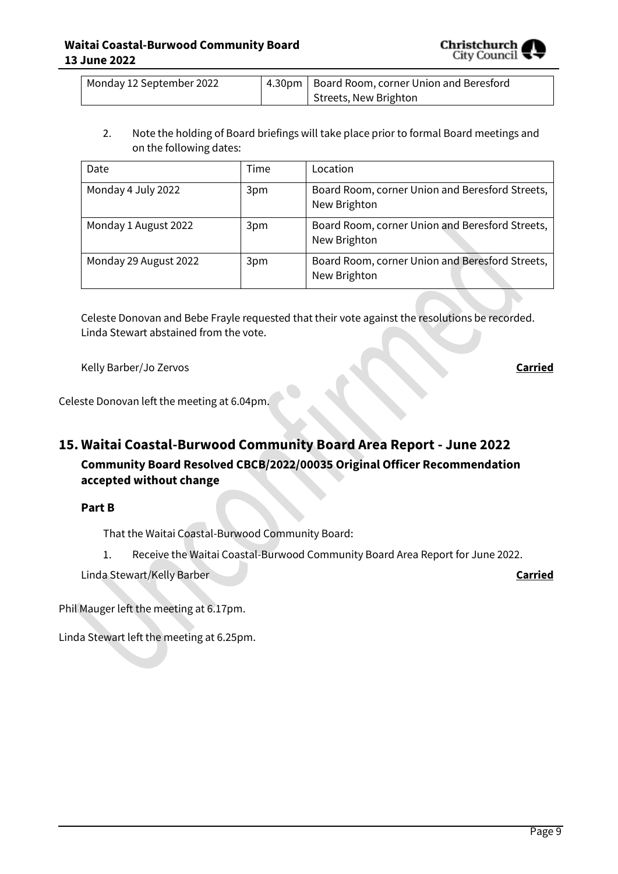

| Monday 12 September 2022 | 4.30pm   Board Room, corner Union and Beresford |
|--------------------------|-------------------------------------------------|
|                          | Streets, New Brighton                           |

2. Note the holding of Board briefings will take place prior to formal Board meetings and on the following dates:

| Date                  | Time | Location                                                        |
|-----------------------|------|-----------------------------------------------------------------|
| Monday 4 July 2022    | 3pm  | Board Room, corner Union and Beresford Streets,<br>New Brighton |
| Monday 1 August 2022  | 3pm  | Board Room, corner Union and Beresford Streets,<br>New Brighton |
| Monday 29 August 2022 | 3pm  | Board Room, corner Union and Beresford Streets,<br>New Brighton |

Celeste Donovan and Bebe Frayle requested that their vote against the resolutions be recorded. Linda Stewart abstained from the vote.

Kelly Barber/Jo Zervos **Carried**

Celeste Donovan left the meeting at 6.04pm.

## **15. Waitai Coastal-Burwood Community Board Area Report - June 2022 Community Board Resolved CBCB/2022/00035 Original Officer Recommendation accepted without change**

**Part B**

That the Waitai Coastal-Burwood Community Board:

Receive the Waitai Coastal-Burwood Community Board Area Report for June 2022.  $1.$ 

Linda Stewart/Kelly Barber **Carried**

Phil Mauger left the meeting at 6.17pm.

Linda Stewart left the meeting at 6.25pm.